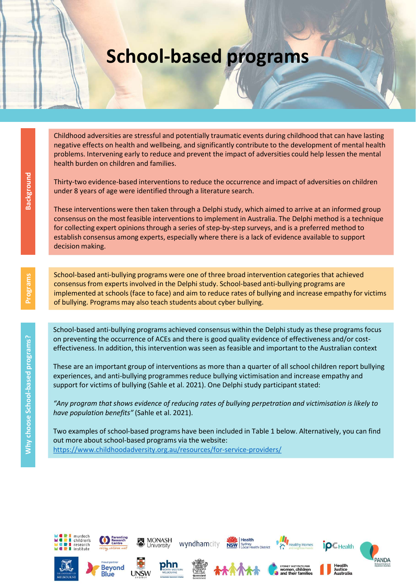## School-based programs

Childhood adversities are stressful and potentially traumatic events during childhood that can have lasting negative effects on health and wellbeing, and significantly contribute to the development of mental health problems. Intervening early to reduce and prevent the impact of adversities could help lessen the mental health burden on children and families.

Thirty-two evidence-based interventions to reduce the occurrence and impact of adversities on children under 8 years of age were identified through a literature search.

These interventions were then taken through a Delphi study, which aimed to arrive at an informed group consensus on the most feasible interventions to implement in Australia. The Delphi method is a technique for collecting expert opinions through a series of step-by-step surveys, and is a preferred method to establish consensus among experts, especially where there is a lack of evidence available to support decision making. Thirty-two evidence-based interventions to reduce the occurrence and impact of adversities on child<br>those interventions were then taken through a Bolehii study, which aimed to arrive at an informed<br>the consensus on the mos

School-based anti-bullying programs were one of three broad intervention categories that achieved consensus from experts involved in the Delphi study. School-based anti-bullying programs are implemented at schools (face to face) and aim to reduce rates of bullying and increase empathy for victims of bullying. Programs may also teach students about cyber bullying.

School-based anti-bullying programs achieved consensus within the Delphi study as these programs focus on preventing the occurrence of ACEs and there is good quality evidence of effectiveness and/or costeffectiveness. In addition, this intervention was seen as feasible and important to the Australian context

These are an important group of interventions as more than a quarter of all school children report bullying experiences, and anti-bullying programmes reduce bullying victimisation and increase empathy and support for victims of bullying (Sahle et al. 2021). One Delphi study participant stated:

"Any program that shows evidence of reducing rates of bullying perpetration and victimisation is likely to have population benefits" (Sahle et al. 2021).

Two examples of school-based programs have been included in Table 1 below. Alternatively, you can find out more about school-based programs via the website:





**Rlue** 





**MONASH** 

niversity



wyndhamcity



Health



althy Home



Health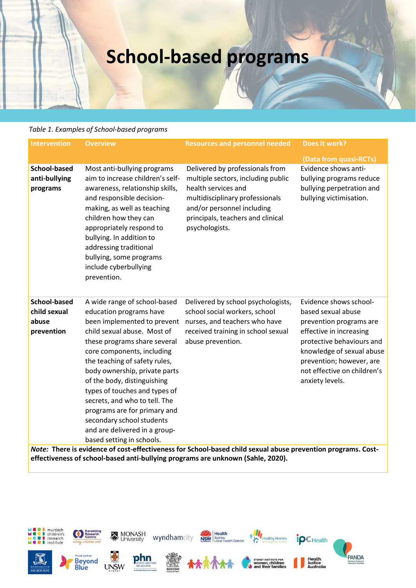## School-based programs

## Table 1. Examples of School-based programs

| <b>School-based programs</b>                               |                                                                                                                                                                                                                                                                                                                                                                                                                                                    |                                                                                                                                                                                                                      |                                                                                                                                                                                                                                            |
|------------------------------------------------------------|----------------------------------------------------------------------------------------------------------------------------------------------------------------------------------------------------------------------------------------------------------------------------------------------------------------------------------------------------------------------------------------------------------------------------------------------------|----------------------------------------------------------------------------------------------------------------------------------------------------------------------------------------------------------------------|--------------------------------------------------------------------------------------------------------------------------------------------------------------------------------------------------------------------------------------------|
| <b>Intervention</b>                                        | Table 1. Examples of School-based programs<br><b>Overview</b>                                                                                                                                                                                                                                                                                                                                                                                      | <b>Resources and personnel needed</b>                                                                                                                                                                                | Does it work?                                                                                                                                                                                                                              |
|                                                            |                                                                                                                                                                                                                                                                                                                                                                                                                                                    |                                                                                                                                                                                                                      |                                                                                                                                                                                                                                            |
| <b>School-based</b><br>anti-bullying<br>programs           | Most anti-bullying programs<br>aim to increase children's self-<br>awareness, relationship skills,<br>and responsible decision-<br>making, as well as teaching<br>children how they can<br>appropriately respond to<br>bullying. In addition to<br>addressing traditional<br>bullying, some programs<br>include cyberbullying<br>prevention.                                                                                                       | Delivered by professionals from<br>multiple sectors, including public<br>health services and<br>multidisciplinary professionals<br>and/or personnel including<br>principals, teachers and clinical<br>psychologists. | (Data from quasi-RCTs)<br>Evidence shows anti-<br>bullying programs reduce<br>bullying perpetration and<br>bullying victimisation.                                                                                                         |
| <b>School-based</b><br>child sexual<br>abuse<br>prevention | A wide range of school-based<br>education programs have<br>child sexual abuse. Most of<br>these programs share several<br>core components, including<br>the teaching of safety rules,<br>body ownership, private parts<br>of the body, distinguishing<br>types of touches and types of<br>secrets, and who to tell. The<br>programs are for primary and<br>secondary school students<br>and are delivered in a group-<br>based setting in schools. | Delivered by school psychologists,<br>school social workers, school<br>been implemented to prevent nurses, and teachers who have<br>received training in school sexual<br>abuse prevention.                          | Evidence shows school-<br>based sexual abuse<br>prevention programs are<br>effective in increasing<br>protective behaviours and<br>knowledge of sexual abuse<br>prevention; however, are<br>not effective on children's<br>anxiety levels. |

Note: There is evidence of cost-effectiveness for School-based child sexual abuse prevention programs. Costeffectiveness of school-based anti-bullying programs are unknown (Sahle, 2020).